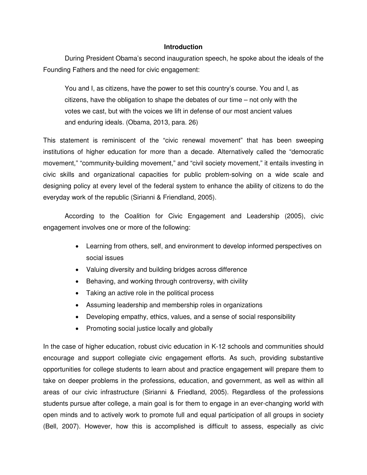# **Introduction**

During President Obama's second inauguration speech, he spoke about the ideals of the Founding Fathers and the need for civic engagement:

You and I, as citizens, have the power to set this country's course. You and I, as citizens, have the obligation to shape the debates of our time – not only with the votes we cast, but with the voices we lift in defense of our most ancient values and enduring ideals. (Obama, 2013, para. 26)

This statement is reminiscent of the "civic renewal movement" that has been sweeping institutions of higher education for more than a decade. Alternatively called the "democratic movement," "community-building movement," and "civil society movement," it entails investing in civic skills and organizational capacities for public problem-solving on a wide scale and designing policy at every level of the federal system to enhance the ability of citizens to do the everyday work of the republic (Sirianni & Friendland, 2005).

 According to the Coalition for Civic Engagement and Leadership (2005), civic engagement involves one or more of the following:

- Learning from others, self, and environment to develop informed perspectives on social issues
- Valuing diversity and building bridges across difference
- Behaving, and working through controversy, with civility
- Taking an active role in the political process
- Assuming leadership and membership roles in organizations
- Developing empathy, ethics, values, and a sense of social responsibility
- Promoting social justice locally and globally

In the case of higher education, robust civic education in K-12 schools and communities should encourage and support collegiate civic engagement efforts. As such, providing substantive opportunities for college students to learn about and practice engagement will prepare them to take on deeper problems in the professions, education, and government, as well as within all areas of our civic infrastructure (Sirianni & Friedland, 2005). Regardless of the professions students pursue after college, a main goal is for them to engage in an ever-changing world with open minds and to actively work to promote full and equal participation of all groups in society (Bell, 2007). However, how this is accomplished is difficult to assess, especially as civic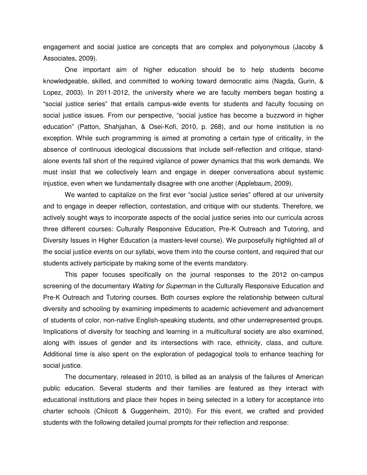engagement and social justice are concepts that are complex and polyonymous (Jacoby & Associates, 2009).

One important aim of higher education should be to help students become knowledgeable, skilled, and committed to working toward democratic aims (Nagda, Gurin, & Lopez, 2003). In 2011-2012, the university where we are faculty members began hosting a "social justice series" that entails campus-wide events for students and faculty focusing on social justice issues. From our perspective, "social justice has become a buzzword in higher education" (Patton, Shahjahan, & Osei-Kofi, 2010, p. 268), and our home institution is no exception. While such programming is aimed at promoting a certain type of criticality, in the absence of continuous ideological discussions that include self-reflection and critique, standalone events fall short of the required vigilance of power dynamics that this work demands. We must insist that we collectively learn and engage in deeper conversations about systemic injustice, even when we fundamentally disagree with one another (Applebaum, 2009).

We wanted to capitalize on the first ever "social justice series" offered at our university and to engage in deeper reflection, contestation, and critique with our students. Therefore, we actively sought ways to incorporate aspects of the social justice series into our curricula across three different courses: Culturally Responsive Education, Pre-K Outreach and Tutoring, and Diversity Issues in Higher Education (a masters-level course). We purposefully highlighted all of the social justice events on our syllabi, wove them into the course content, and required that our students actively participate by making some of the events mandatory.

 This paper focuses specifically on the journal responses to the 2012 on-campus screening of the documentary Waiting for Superman in the Culturally Responsive Education and Pre-K Outreach and Tutoring courses. Both courses explore the relationship between cultural diversity and schooling by examining impediments to academic achievement and advancement of students of color, non-native English-speaking students, and other underrepresented groups. Implications of diversity for teaching and learning in a multicultural society are also examined, along with issues of gender and its intersections with race, ethnicity, class, and culture. Additional time is also spent on the exploration of pedagogical tools to enhance teaching for social justice.

The documentary, released in 2010, is billed as an analysis of the failures of American public education. Several students and their families are featured as they interact with educational institutions and place their hopes in being selected in a lottery for acceptance into charter schools (Chilcott & Guggenheim, 2010). For this event, we crafted and provided students with the following detailed journal prompts for their reflection and response: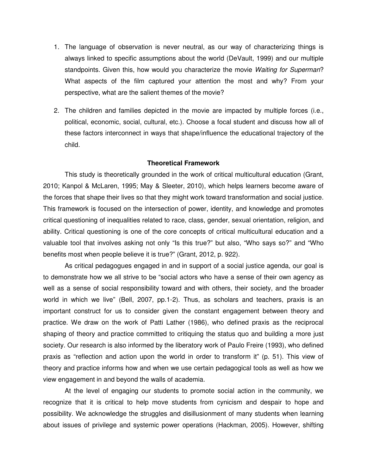- 1. The language of observation is never neutral, as our way of characterizing things is always linked to specific assumptions about the world (DeVault, 1999) and our multiple standpoints. Given this, how would you characterize the movie Waiting for Superman? What aspects of the film captured your attention the most and why? From your perspective, what are the salient themes of the movie?
- 2. The children and families depicted in the movie are impacted by multiple forces (i.e., political, economic, social, cultural, etc.). Choose a focal student and discuss how all of these factors interconnect in ways that shape/influence the educational trajectory of the child.

#### **Theoretical Framework**

This study is theoretically grounded in the work of critical multicultural education (Grant, 2010; Kanpol & McLaren, 1995; May & Sleeter, 2010), which helps learners become aware of the forces that shape their lives so that they might work toward transformation and social justice. This framework is focused on the intersection of power, identity, and knowledge and promotes critical questioning of inequalities related to race, class, gender, sexual orientation, religion, and ability. Critical questioning is one of the core concepts of critical multicultural education and a valuable tool that involves asking not only "Is this true?" but also, "Who says so?" and "Who benefits most when people believe it is true?" (Grant, 2012, p. 922).

As critical pedagogues engaged in and in support of a social justice agenda, our goal is to demonstrate how we all strive to be "social actors who have a sense of their own agency as well as a sense of social responsibility toward and with others, their society, and the broader world in which we live" (Bell, 2007, pp.1-2). Thus, as scholars and teachers, praxis is an important construct for us to consider given the constant engagement between theory and practice. We draw on the work of Patti Lather (1986), who defined praxis as the reciprocal shaping of theory and practice committed to critiquing the status quo and building a more just society. Our research is also informed by the liberatory work of Paulo Freire (1993), who defined praxis as "reflection and action upon the world in order to transform it" (p. 51). This view of theory and practice informs how and when we use certain pedagogical tools as well as how we view engagement in and beyond the walls of academia.

At the level of engaging our students to promote social action in the community, we recognize that it is critical to help move students from cynicism and despair to hope and possibility. We acknowledge the struggles and disillusionment of many students when learning about issues of privilege and systemic power operations (Hackman, 2005). However, shifting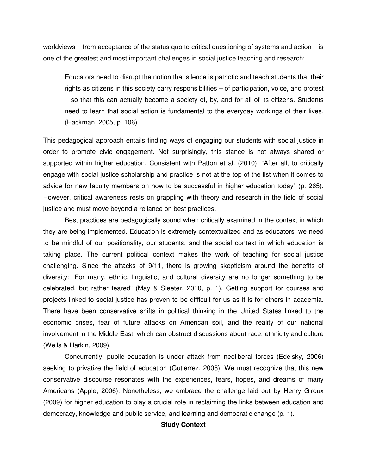worldviews – from acceptance of the status quo to critical questioning of systems and action – is one of the greatest and most important challenges in social justice teaching and research:

Educators need to disrupt the notion that silence is patriotic and teach students that their rights as citizens in this society carry responsibilities – of participation, voice, and protest – so that this can actually become a society of, by, and for all of its citizens. Students need to learn that social action is fundamental to the everyday workings of their lives. (Hackman, 2005, p. 106)

This pedagogical approach entails finding ways of engaging our students with social justice in order to promote civic engagement. Not surprisingly, this stance is not always shared or supported within higher education. Consistent with Patton et al. (2010), "After all, to critically engage with social justice scholarship and practice is not at the top of the list when it comes to advice for new faculty members on how to be successful in higher education today" (p. 265). However, critical awareness rests on grappling with theory and research in the field of social justice and must move beyond a reliance on best practices.

Best practices are pedagogically sound when critically examined in the context in which they are being implemented. Education is extremely contextualized and as educators, we need to be mindful of our positionality, our students, and the social context in which education is taking place. The current political context makes the work of teaching for social justice challenging. Since the attacks of 9/11, there is growing skepticism around the benefits of diversity: "For many, ethnic, linguistic, and cultural diversity are no longer something to be celebrated, but rather feared" (May & Sleeter, 2010, p. 1). Getting support for courses and projects linked to social justice has proven to be difficult for us as it is for others in academia. There have been conservative shifts in political thinking in the United States linked to the economic crises, fear of future attacks on American soil, and the reality of our national involvement in the Middle East, which can obstruct discussions about race, ethnicity and culture (Wells & Harkin, 2009).

Concurrently, public education is under attack from neoliberal forces (Edelsky, 2006) seeking to privatize the field of education (Gutierrez, 2008). We must recognize that this new conservative discourse resonates with the experiences, fears, hopes, and dreams of many Americans (Apple, 2006). Nonetheless, we embrace the challenge laid out by Henry Giroux (2009) for higher education to play a crucial role in reclaiming the links between education and democracy, knowledge and public service, and learning and democratic change (p. 1).

# **Study Context**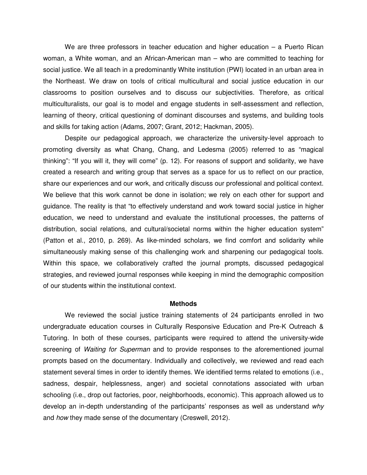We are three professors in teacher education and higher education – a Puerto Rican woman, a White woman, and an African-American man – who are committed to teaching for social justice. We all teach in a predominantly White institution (PWI) located in an urban area in the Northeast. We draw on tools of critical multicultural and social justice education in our classrooms to position ourselves and to discuss our subjectivities. Therefore, as critical multiculturalists, our goal is to model and engage students in self-assessment and reflection, learning of theory, critical questioning of dominant discourses and systems, and building tools and skills for taking action (Adams, 2007; Grant, 2012; Hackman, 2005).

Despite our pedagogical approach, we characterize the university-level approach to promoting diversity as what Chang, Chang, and Ledesma (2005) referred to as "magical thinking": "If you will it, they will come" (p. 12). For reasons of support and solidarity, we have created a research and writing group that serves as a space for us to reflect on our practice, share our experiences and our work, and critically discuss our professional and political context. We believe that this work cannot be done in isolation; we rely on each other for support and guidance. The reality is that "to effectively understand and work toward social justice in higher education, we need to understand and evaluate the institutional processes, the patterns of distribution, social relations, and cultural/societal norms within the higher education system" (Patton et al., 2010, p. 269). As like-minded scholars, we find comfort and solidarity while simultaneously making sense of this challenging work and sharpening our pedagogical tools. Within this space, we collaboratively crafted the journal prompts, discussed pedagogical strategies, and reviewed journal responses while keeping in mind the demographic composition of our students within the institutional context.

#### **Methods**

We reviewed the social justice training statements of 24 participants enrolled in two undergraduate education courses in Culturally Responsive Education and Pre-K Outreach & Tutoring. In both of these courses, participants were required to attend the university-wide screening of Waiting for Superman and to provide responses to the aforementioned journal prompts based on the documentary. Individually and collectively, we reviewed and read each statement several times in order to identify themes. We identified terms related to emotions (i.e., sadness, despair, helplessness, anger) and societal connotations associated with urban schooling (i.e., drop out factories, poor, neighborhoods, economic). This approach allowed us to develop an in-depth understanding of the participants' responses as well as understand why and how they made sense of the documentary (Creswell, 2012).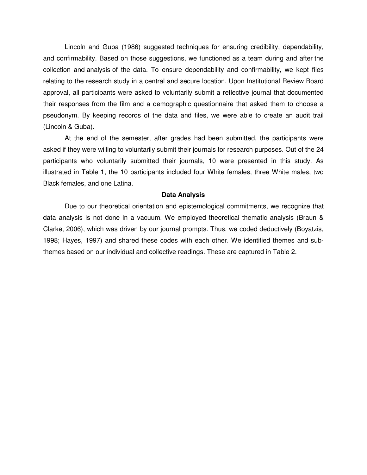Lincoln and Guba (1986) suggested techniques for ensuring credibility, dependability, and confirmability. Based on those suggestions, we functioned as a team during and after the collection and analysis of the data. To ensure dependability and confirmability, we kept files relating to the research study in a central and secure location. Upon Institutional Review Board approval, all participants were asked to voluntarily submit a reflective journal that documented their responses from the film and a demographic questionnaire that asked them to choose a pseudonym. By keeping records of the data and files, we were able to create an audit trail (Lincoln & Guba).

At the end of the semester, after grades had been submitted, the participants were asked if they were willing to voluntarily submit their journals for research purposes. Out of the 24 participants who voluntarily submitted their journals, 10 were presented in this study. As illustrated in Table 1, the 10 participants included four White females, three White males, two Black females, and one Latina.

#### **Data Analysis**

Due to our theoretical orientation and epistemological commitments, we recognize that data analysis is not done in a vacuum. We employed theoretical thematic analysis (Braun & Clarke, 2006), which was driven by our journal prompts. Thus, we coded deductively (Boyatzis, 1998; Hayes, 1997) and shared these codes with each other. We identified themes and subthemes based on our individual and collective readings. These are captured in Table 2.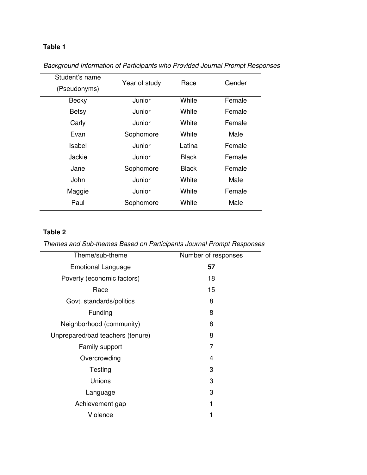# **Table 1**

| Student's name | Year of study | Race         | Gender |
|----------------|---------------|--------------|--------|
| (Pseudonyms)   |               |              |        |
| <b>Becky</b>   | Junior        | White        | Female |
| <b>Betsy</b>   | Junior        | White        | Female |
| Carly          | Junior        | White        | Female |
| Evan           | Sophomore     | White        | Male   |
| Isabel         | Junior        | Latina       | Female |
| Jackie         | Junior        | <b>Black</b> | Female |
| Jane           | Sophomore     | <b>Black</b> | Female |
| John           | Junior        | White        | Male   |
| Maggie         | Junior        | White        | Female |
| Paul           | Sophomore     | White        | Male   |
|                |               |              |        |

# Background Information of Participants who Provided Journal Prompt Responses

# **Table 2**

Themes and Sub-themes Based on Participants Journal Prompt Responses

| Theme/sub-theme                  | Number of responses |  |
|----------------------------------|---------------------|--|
| <b>Emotional Language</b>        | 57                  |  |
| Poverty (economic factors)       | 18                  |  |
| Race                             | 15                  |  |
| Govt. standards/politics         | 8                   |  |
| Funding                          | 8                   |  |
| Neighborhood (community)         | 8                   |  |
| Unprepared/bad teachers (tenure) | 8                   |  |
| Family support                   | 7                   |  |
| Overcrowding                     | 4                   |  |
| Testing                          | 3                   |  |
| Unions                           | 3                   |  |
| Language                         | 3                   |  |
| Achievement gap                  | 1                   |  |
| Violence                         | 1                   |  |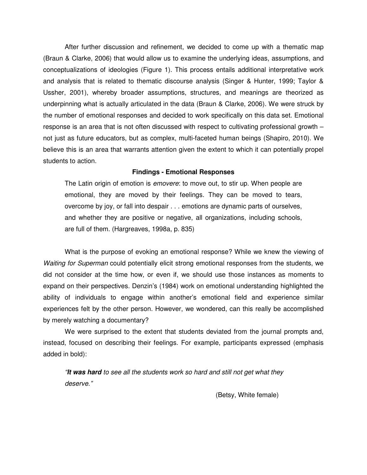After further discussion and refinement, we decided to come up with a thematic map (Braun & Clarke, 2006) that would allow us to examine the underlying ideas, assumptions, and conceptualizations of ideologies (Figure 1). This process entails additional interpretative work and analysis that is related to thematic discourse analysis (Singer & Hunter, 1999; Taylor & Ussher, 2001), whereby broader assumptions, structures, and meanings are theorized as underpinning what is actually articulated in the data (Braun & Clarke, 2006). We were struck by the number of emotional responses and decided to work specifically on this data set. Emotional response is an area that is not often discussed with respect to cultivating professional growth – not just as future educators, but as complex, multi-faceted human beings (Shapiro, 2010). We believe this is an area that warrants attention given the extent to which it can potentially propel students to action.

# **Findings - Emotional Responses**

The Latin origin of emotion is *emovere*: to move out, to stir up. When people are emotional, they are moved by their feelings. They can be moved to tears, overcome by joy, or fall into despair . . . emotions are dynamic parts of ourselves, and whether they are positive or negative, all organizations, including schools, are full of them. (Hargreaves, 1998a, p. 835)

What is the purpose of evoking an emotional response? While we knew the viewing of Waiting for Superman could potentially elicit strong emotional responses from the students, we did not consider at the time how, or even if, we should use those instances as moments to expand on their perspectives. Denzin's (1984) work on emotional understanding highlighted the ability of individuals to engage within another's emotional field and experience similar experiences felt by the other person. However, we wondered, can this really be accomplished by merely watching a documentary?

We were surprised to the extent that students deviated from the journal prompts and, instead, focused on describing their feelings. For example, participants expressed (emphasis added in bold):

"**It was hard** to see all the students work so hard and still not get what they deserve."

(Betsy, White female)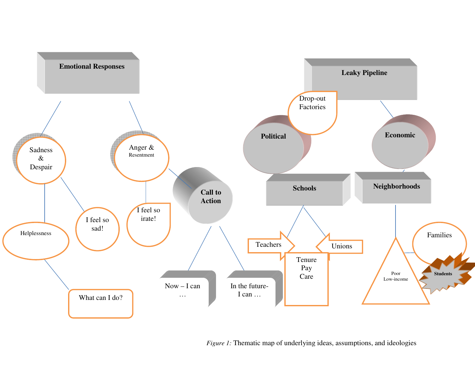

*Figure 1:* Thematic map of underlying ideas, assumptions, and ideologies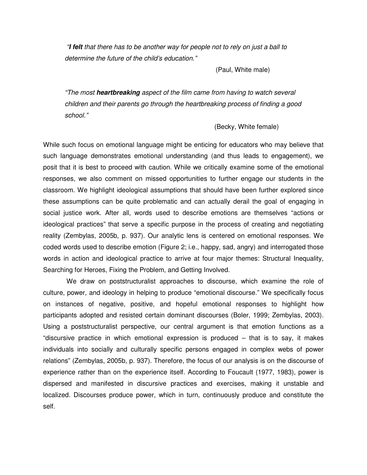"**I felt** that there has to be another way for people not to rely on just a ball to determine the future of the child's education."

(Paul, White male)

"The most **heartbreaking** aspect of the film came from having to watch several children and their parents go through the heartbreaking process of finding a good school."

(Becky, White female)

While such focus on emotional language might be enticing for educators who may believe that such language demonstrates emotional understanding (and thus leads to engagement), we posit that it is best to proceed with caution. While we critically examine some of the emotional responses, we also comment on missed opportunities to further engage our students in the classroom. We highlight ideological assumptions that should have been further explored since these assumptions can be quite problematic and can actually derail the goal of engaging in social justice work. After all, words used to describe emotions are themselves "actions or ideological practices" that serve a specific purpose in the process of creating and negotiating reality (Zembylas, 2005b, p. 937). Our analytic lens is centered on emotional responses. We coded words used to describe emotion (Figure 2; i.e., happy, sad, angry) and interrogated those words in action and ideological practice to arrive at four major themes: Structural Inequality, Searching for Heroes, Fixing the Problem, and Getting Involved.

 We draw on poststructuralist approaches to discourse, which examine the role of culture, power, and ideology in helping to produce "emotional discourse." We specifically focus on instances of negative, positive, and hopeful emotional responses to highlight how participants adopted and resisted certain dominant discourses (Boler, 1999; Zembylas, 2003). Using a poststructuralist perspective, our central argument is that emotion functions as a "discursive practice in which emotional expression is produced – that is to say, it makes individuals into socially and culturally specific persons engaged in complex webs of power relations" (Zembylas, 2005b, p. 937). Therefore, the focus of our analysis is on the discourse of experience rather than on the experience itself. According to Foucault (1977, 1983), power is dispersed and manifested in discursive practices and exercises, making it unstable and localized. Discourses produce power, which in turn, continuously produce and constitute the self.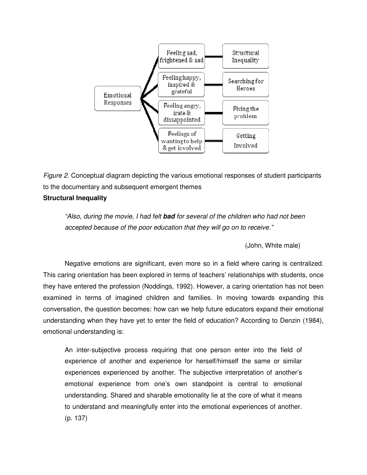

Figure 2. Conceptual diagram depicting the various emotional responses of student participants to the documentary and subsequent emergent themes **Structural Inequality** 

"Also, during the movie, I had felt **bad** for several of the children who had not been accepted because of the poor education that they will go on to receive."

(John, White male)

Negative emotions are significant, even more so in a field where caring is centralized. This caring orientation has been explored in terms of teachers' relationships with students, once they have entered the profession (Noddings, 1992). However, a caring orientation has not been examined in terms of imagined children and families. In moving towards expanding this conversation, the question becomes: how can we help future educators expand their emotional understanding when they have yet to enter the field of education? According to Denzin (1984), emotional understanding is:

An inter-subjective process requiring that one person enter into the field of experience of another and experience for herself/himself the same or similar experiences experienced by another. The subjective interpretation of another's emotional experience from one's own standpoint is central to emotional understanding. Shared and sharable emotionality lie at the core of what it means to understand and meaningfully enter into the emotional experiences of another. (p. 137)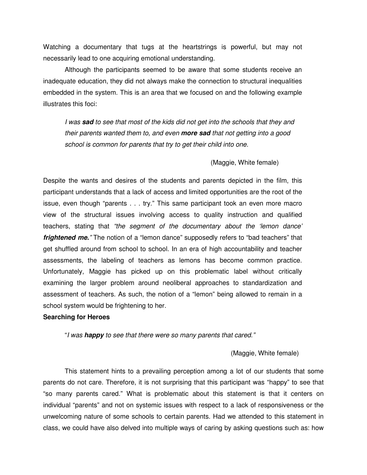Watching a documentary that tugs at the heartstrings is powerful, but may not necessarily lead to one acquiring emotional understanding.

 Although the participants seemed to be aware that some students receive an inadequate education, they did not always make the connection to structural inequalities embedded in the system. This is an area that we focused on and the following example illustrates this foci:

I was **sad** to see that most of the kids did not get into the schools that they and their parents wanted them to, and even **more sad** that not getting into a good school is common for parents that try to get their child into one.

### (Maggie, White female)

Despite the wants and desires of the students and parents depicted in the film, this participant understands that a lack of access and limited opportunities are the root of the issue, even though "parents . . . try." This same participant took an even more macro view of the structural issues involving access to quality instruction and qualified teachers, stating that "the segment of the documentary about the 'lemon dance' **frightened me.**" The notion of a "lemon dance" supposedly refers to "bad teachers" that get shuffled around from school to school. In an era of high accountability and teacher assessments, the labeling of teachers as lemons has become common practice. Unfortunately, Maggie has picked up on this problematic label without critically examining the larger problem around neoliberal approaches to standardization and assessment of teachers. As such, the notion of a "lemon" being allowed to remain in a school system would be frightening to her.

## **Searching for Heroes**

"I was **happy** to see that there were so many parents that cared."

#### (Maggie, White female)

This statement hints to a prevailing perception among a lot of our students that some parents do not care. Therefore, it is not surprising that this participant was "happy" to see that "so many parents cared." What is problematic about this statement is that it centers on individual "parents" and not on systemic issues with respect to a lack of responsiveness or the unwelcoming nature of some schools to certain parents. Had we attended to this statement in class, we could have also delved into multiple ways of caring by asking questions such as: how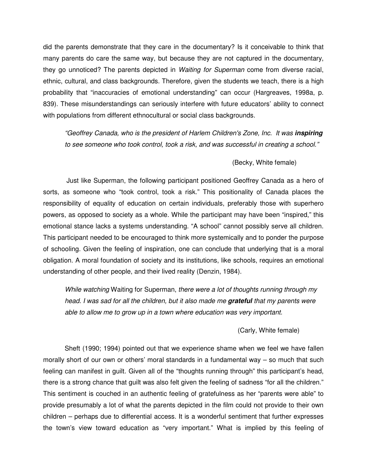did the parents demonstrate that they care in the documentary? Is it conceivable to think that many parents do care the same way, but because they are not captured in the documentary, they go unnoticed? The parents depicted in *Waiting for Superman* come from diverse racial, ethnic, cultural, and class backgrounds. Therefore, given the students we teach, there is a high probability that "inaccuracies of emotional understanding" can occur (Hargreaves, 1998a, p. 839). These misunderstandings can seriously interfere with future educators' ability to connect with populations from different ethnocultural or social class backgrounds.

"Geoffrey Canada, who is the president of Harlem Children's Zone, Inc. It was **inspiring**  to see someone who took control, took a risk, and was successful in creating a school."

## (Becky, White female)

 Just like Superman, the following participant positioned Geoffrey Canada as a hero of sorts, as someone who "took control, took a risk." This positionality of Canada places the responsibility of equality of education on certain individuals, preferably those with superhero powers, as opposed to society as a whole. While the participant may have been "inspired," this emotional stance lacks a systems understanding. "A school" cannot possibly serve all children. This participant needed to be encouraged to think more systemically and to ponder the purpose of schooling. Given the feeling of inspiration, one can conclude that underlying that is a moral obligation. A moral foundation of society and its institutions, like schools, requires an emotional understanding of other people, and their lived reality (Denzin, 1984).

While watching Waiting for Superman, there were a lot of thoughts running through my head. I was sad for all the children, but it also made me **grateful** that my parents were able to allow me to grow up in a town where education was very important.

### (Carly, White female)

 Sheft (1990; 1994) pointed out that we experience shame when we feel we have fallen morally short of our own or others' moral standards in a fundamental way – so much that such feeling can manifest in guilt. Given all of the "thoughts running through" this participant's head, there is a strong chance that guilt was also felt given the feeling of sadness "for all the children." This sentiment is couched in an authentic feeling of gratefulness as her "parents were able" to provide presumably a lot of what the parents depicted in the film could not provide to their own children – perhaps due to differential access. It is a wonderful sentiment that further expresses the town's view toward education as "very important." What is implied by this feeling of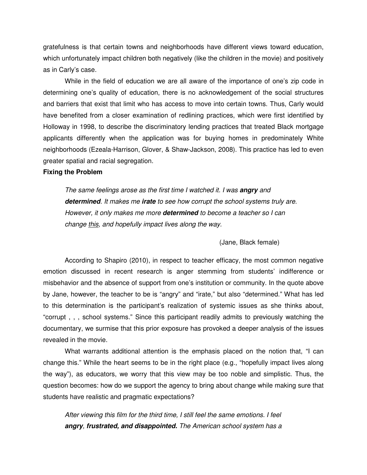gratefulness is that certain towns and neighborhoods have different views toward education, which unfortunately impact children both negatively (like the children in the movie) and positively as in Carly's case.

 While in the field of education we are all aware of the importance of one's zip code in determining one's quality of education, there is no acknowledgement of the social structures and barriers that exist that limit who has access to move into certain towns. Thus, Carly would have benefited from a closer examination of redlining practices, which were first identified by Holloway in 1998, to describe the discriminatory lending practices that treated Black mortgage applicants differently when the application was for buying homes in predominately White neighborhoods (Ezeala-Harrison, Glover, & Shaw-Jackson, 2008). This practice has led to even greater spatial and racial segregation.

## **Fixing the Problem**

The same feelings arose as the first time I watched it. I was **angry** and **determined**. It makes me **irate** to see how corrupt the school systems truly are. However, it only makes me more **determined** to become a teacher so I can change this, and hopefully impact lives along the way.

(Jane, Black female)

According to Shapiro (2010), in respect to teacher efficacy, the most common negative emotion discussed in recent research is anger stemming from students' indifference or misbehavior and the absence of support from one's institution or community. In the quote above by Jane, however, the teacher to be is "angry" and "irate," but also "determined." What has led to this determination is the participant's realization of systemic issues as she thinks about, "corrupt , , , school systems." Since this participant readily admits to previously watching the documentary, we surmise that this prior exposure has provoked a deeper analysis of the issues revealed in the movie.

What warrants additional attention is the emphasis placed on the notion that, "I can change this." While the heart seems to be in the right place (e.g., "hopefully impact lives along the way"), as educators, we worry that this view may be too noble and simplistic. Thus, the question becomes: how do we support the agency to bring about change while making sure that students have realistic and pragmatic expectations?

After viewing this film for the third time, I still feel the same emotions. I feel **angry**, **frustrated, and disappointed.** The American school system has a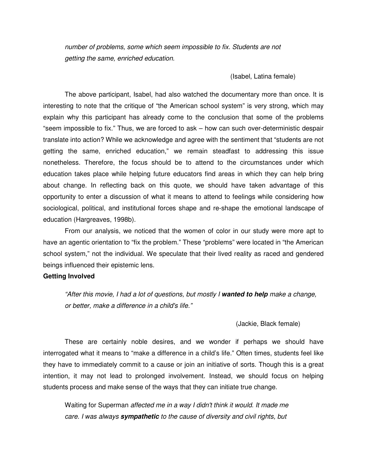number of problems, some which seem impossible to fix. Students are not getting the same, enriched education.

# (Isabel, Latina female)

The above participant, Isabel, had also watched the documentary more than once. It is interesting to note that the critique of "the American school system" is very strong, which may explain why this participant has already come to the conclusion that some of the problems "seem impossible to fix." Thus, we are forced to ask – how can such over-deterministic despair translate into action? While we acknowledge and agree with the sentiment that "students are not getting the same, enriched education," we remain steadfast to addressing this issue nonetheless. Therefore, the focus should be to attend to the circumstances under which education takes place while helping future educators find areas in which they can help bring about change. In reflecting back on this quote, we should have taken advantage of this opportunity to enter a discussion of what it means to attend to feelings while considering how sociological, political, and institutional forces shape and re-shape the emotional landscape of education (Hargreaves, 1998b).

From our analysis, we noticed that the women of color in our study were more apt to have an agentic orientation to "fix the problem." These "problems" were located in "the American school system," not the individual. We speculate that their lived reality as raced and gendered beings influenced their epistemic lens.

#### **Getting Involved**

"After this movie, I had a lot of questions, but mostly I **wanted to help** make a change, or better, make a difference in a child's life."

(Jackie, Black female)

These are certainly noble desires, and we wonder if perhaps we should have interrogated what it means to "make a difference in a child's life." Often times, students feel like they have to immediately commit to a cause or join an initiative of sorts. Though this is a great intention, it may not lead to prolonged involvement. Instead, we should focus on helping students process and make sense of the ways that they can initiate true change.

Waiting for Superman affected me in a way I didn't think it would. It made me care. I was always **sympathetic** to the cause of diversity and civil rights, but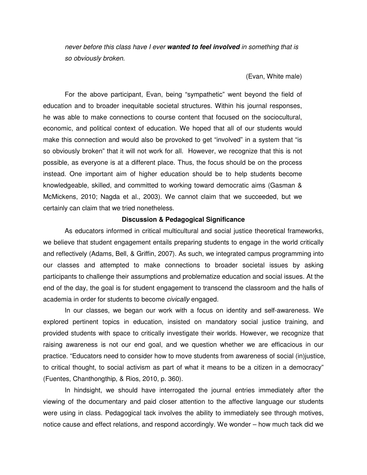never before this class have I ever **wanted to feel involved** in something that is so obviously broken.

# (Evan, White male)

 For the above participant, Evan, being "sympathetic" went beyond the field of education and to broader inequitable societal structures. Within his journal responses, he was able to make connections to course content that focused on the sociocultural, economic, and political context of education. We hoped that all of our students would make this connection and would also be provoked to get "involved" in a system that "is so obviously broken" that it will not work for all. However, we recognize that this is not possible, as everyone is at a different place. Thus, the focus should be on the process instead. One important aim of higher education should be to help students become knowledgeable, skilled, and committed to working toward democratic aims (Gasman & McMickens, 2010; Nagda et al., 2003). We cannot claim that we succeeded, but we certainly can claim that we tried nonetheless.

#### **Discussion & Pedagogical Significance**

As educators informed in critical multicultural and social justice theoretical frameworks, we believe that student engagement entails preparing students to engage in the world critically and reflectively (Adams, Bell, & Griffin, 2007). As such, we integrated campus programming into our classes and attempted to make connections to broader societal issues by asking participants to challenge their assumptions and problematize education and social issues. At the end of the day, the goal is for student engagement to transcend the classroom and the halls of academia in order for students to become civically engaged.

In our classes, we began our work with a focus on identity and self-awareness. We explored pertinent topics in education, insisted on mandatory social justice training, and provided students with space to critically investigate their worlds. However, we recognize that raising awareness is not our end goal, and we question whether we are efficacious in our practice. "Educators need to consider how to move students from awareness of social (in)justice, to critical thought, to social activism as part of what it means to be a citizen in a democracy" (Fuentes, Chanthongthip, & Rios, 2010, p. 360).

In hindsight, we should have interrogated the journal entries immediately after the viewing of the documentary and paid closer attention to the affective language our students were using in class. Pedagogical tack involves the ability to immediately see through motives, notice cause and effect relations, and respond accordingly. We wonder – how much tack did we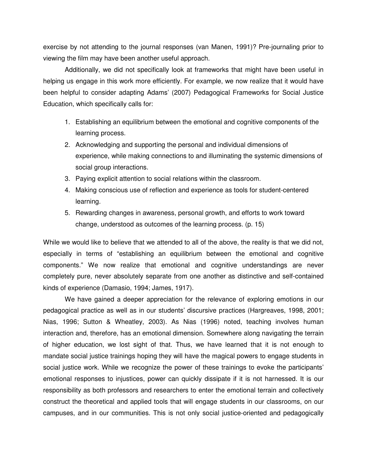exercise by not attending to the journal responses (van Manen, 1991)? Pre-journaling prior to viewing the film may have been another useful approach.

Additionally, we did not specifically look at frameworks that might have been useful in helping us engage in this work more efficiently. For example, we now realize that it would have been helpful to consider adapting Adams' (2007) Pedagogical Frameworks for Social Justice Education, which specifically calls for:

- 1. Establishing an equilibrium between the emotional and cognitive components of the learning process.
- 2. Acknowledging and supporting the personal and individual dimensions of experience, while making connections to and illuminating the systemic dimensions of social group interactions.
- 3. Paying explicit attention to social relations within the classroom.
- 4. Making conscious use of reflection and experience as tools for student-centered learning.
- 5. Rewarding changes in awareness, personal growth, and efforts to work toward change, understood as outcomes of the learning process. (p. 15)

While we would like to believe that we attended to all of the above, the reality is that we did not, especially in terms of "establishing an equilibrium between the emotional and cognitive components." We now realize that emotional and cognitive understandings are never completely pure, never absolutely separate from one another as distinctive and self-contained kinds of experience (Damasio, 1994; James, 1917).

We have gained a deeper appreciation for the relevance of exploring emotions in our pedagogical practice as well as in our students' discursive practices (Hargreaves, 1998, 2001; Nias, 1996; Sutton & Wheatley, 2003). As Nias (1996) noted, teaching involves human interaction and, therefore, has an emotional dimension. Somewhere along navigating the terrain of higher education, we lost sight of that. Thus, we have learned that it is not enough to mandate social justice trainings hoping they will have the magical powers to engage students in social justice work. While we recognize the power of these trainings to evoke the participants' emotional responses to injustices, power can quickly dissipate if it is not harnessed. It is our responsibility as both professors and researchers to enter the emotional terrain and collectively construct the theoretical and applied tools that will engage students in our classrooms, on our campuses, and in our communities. This is not only social justice-oriented and pedagogically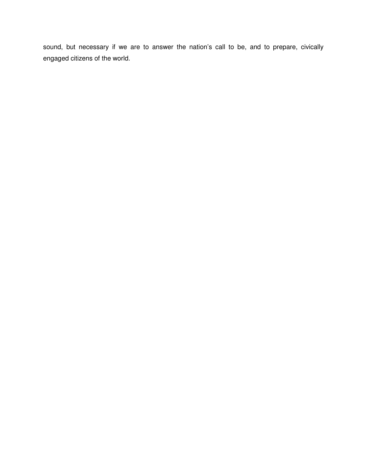sound, but necessary if we are to answer the nation's call to be, and to prepare, civically engaged citizens of the world.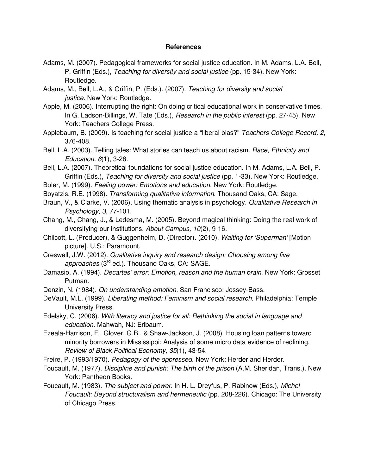# **References**

- Adams, M. (2007). Pedagogical frameworks for social justice education. In M. Adams, L.A. Bell, P. Griffin (Eds.), Teaching for diversity and social justice (pp. 15-34). New York: Routledge.
- Adams, M., Bell, L.A., & Griffin, P. (Eds.). (2007). Teaching for diversity and social justice. New York: Routledge.
- Apple, M. (2006). Interrupting the right: On doing critical educational work in conservative times. In G. Ladson-Billings, W. Tate (Eds.), Research in the public interest (pp. 27-45). New York: Teachers College Press.
- Applebaum, B. (2009). Is teaching for social justice a "liberal bias?" Teachers College Record, 2, 376-408.
- Bell, L.A. (2003). Telling tales: What stories can teach us about racism. Race, Ethnicity and Education, 6(1), 3-28.
- Bell, L.A. (2007). Theoretical foundations for social justice education. In M. Adams, L.A. Bell, P. Griffin (Eds.), Teaching for diversity and social justice (pp. 1-33). New York: Routledge.
- Boler, M. (1999). Feeling power: Emotions and education. New York: Routledge.
- Boyatzis, R.E. (1998). Transforming qualitative information. Thousand Oaks, CA: Sage.
- Braun, V., & Clarke, V. (2006). Using thematic analysis in psychology. Qualitative Research in Psychology, 3, 77-101.
- Chang, M., Chang, J., & Ledesma, M. (2005). Beyond magical thinking: Doing the real work of diversifying our institutions. About Campus, 10(2), 9-16.
- Chilcott, L. (Producer), & Guggenheim, D. (Director). (2010). Waiting for 'Superman' [Motion picture]. U.S.: Paramount.
- Creswell, J.W. (2012). Qualitative inquiry and research design: Choosing among five approaches (3<sup>rd</sup> ed.). Thousand Oaks, CA: SAGE.
- Damasio, A. (1994). Decartes' error: Emotion, reason and the human brain. New York: Grosset Putman.
- Denzin, N. (1984). On understanding emotion. San Francisco: Jossey-Bass.
- DeVault, M.L. (1999). Liberating method: Feminism and social research. Philadelphia: Temple University Press.
- Edelsky, C. (2006). With literacy and justice for all: Rethinking the social in language and education. Mahwah, NJ: Erlbaum.
- Ezeala-Harrison, F., Glover, G.B., & Shaw-Jackson, J. (2008). Housing loan patterns toward minority borrowers in Mississippi: Analysis of some micro data evidence of redlining. Review of Black Political Economy, 35(1), 43-54.
- Freire, P. (1993/1970). Pedagogy of the oppressed. New York: Herder and Herder.
- Foucault, M. (1977). Discipline and punish: The birth of the prison (A.M. Sheridan, Trans.). New York: Pantheon Books.
- Foucault, M. (1983). The subject and power. In H. L. Dreyfus, P. Rabinow (Eds.), Michel Foucault: Beyond structuralism and hermeneutic (pp. 208-226). Chicago: The University of Chicago Press.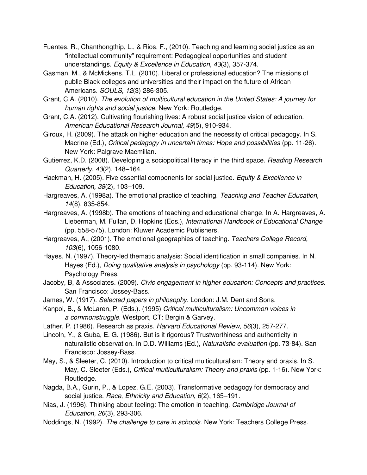- Fuentes, R., Chanthongthip, L., & Rios, F., (2010). Teaching and learning social justice as an "intellectual community" requirement: Pedagogical opportunities and student understandings. Equity & Excellence in Education, 43(3), 357-374.
- Gasman, M., & McMickens, T.L. (2010). Liberal or professional education? The missions of public Black colleges and universities and their impact on the future of African Americans. SOULS, 12(3) 286-305.
- Grant, C.A. (2010). The evolution of multicultural education in the United States: A journey for human rights and social justice. New York: Routledge.
- Grant, C.A. (2012). Cultivating flourishing lives: A robust social justice vision of education. American Educational Research Journal, 49(5), 910-934.
- Giroux, H. (2009). The attack on higher education and the necessity of critical pedagogy. In S. Macrine (Ed.), Critical pedagogy in uncertain times: Hope and possibilities (pp. 11-26). New York: Palgrave Macmillan.
- Gutierrez, K.D. (2008). Developing a sociopolitical literacy in the third space. Reading Research Quarterly, 43(2), 148–164.
- Hackman, H. (2005). Five essential components for social justice. Equity & Excellence in Education, 38(2), 103–109.
- Hargreaves, A. (1998a). The emotional practice of teaching. Teaching and Teacher Education, 14(8), 835-854.
- Hargreaves, A. (1998b). The emotions of teaching and educational change. In A. Hargreaves, A. Lieberman, M. Fullan, D. Hopkins (Eds.), International Handbook of Educational Change (pp. 558-575). London: Kluwer Academic Publishers.
- Hargreaves, A., (2001). The emotional geographies of teaching. Teachers College Record, 103(6), 1056-1080.
- Hayes, N. (1997). Theory-led thematic analysis: Social identification in small companies. In N. Hayes (Ed.), *Doing qualitative analysis in psychology* (pp. 93-114). New York: Psychology Press.
- Jacoby, B, & Associates. (2009). Civic engagement in higher education: Concepts and practices. San Francisco: Jossey-Bass.
- James, W. (1917). Selected papers in philosophy. London: J.M. Dent and Sons.
- Kanpol, B., & McLaren, P. (Eds.). (1995) Critical multiculturalism: Uncommon voices in a commonstruggle. Westport, CT: Bergin & Garvey.
- Lather, P. (1986). Research as praxis. Harvard Educational Review, 56(3), 257-277.
- Lincoln, Y., & Guba, E. G. (1986). But is it rigorous? Trustworthiness and authenticity in naturalistic observation. In D.D. Williams (Ed.), Naturalistic evaluation (pp. 73-84). San Francisco: Jossey-Bass.
- May, S., & Sleeter, C. (2010). Introduction to critical multiculturalism: Theory and praxis. In S. May, C. Sleeter (Eds.), Critical multiculturalism: Theory and praxis (pp. 1-16). New York: Routledge.
- Nagda, B.A., Gurin, P., & Lopez, G.E. (2003). Transformative pedagogy for democracy and social justice. Race, Ethnicity and Education, 6(2), 165-191.
- Nias, J. (1996). Thinking about feeling: The emotion in teaching. Cambridge Journal of Education, 26(3), 293-306.
- Noddings, N. (1992). The challenge to care in schools. New York: Teachers College Press.